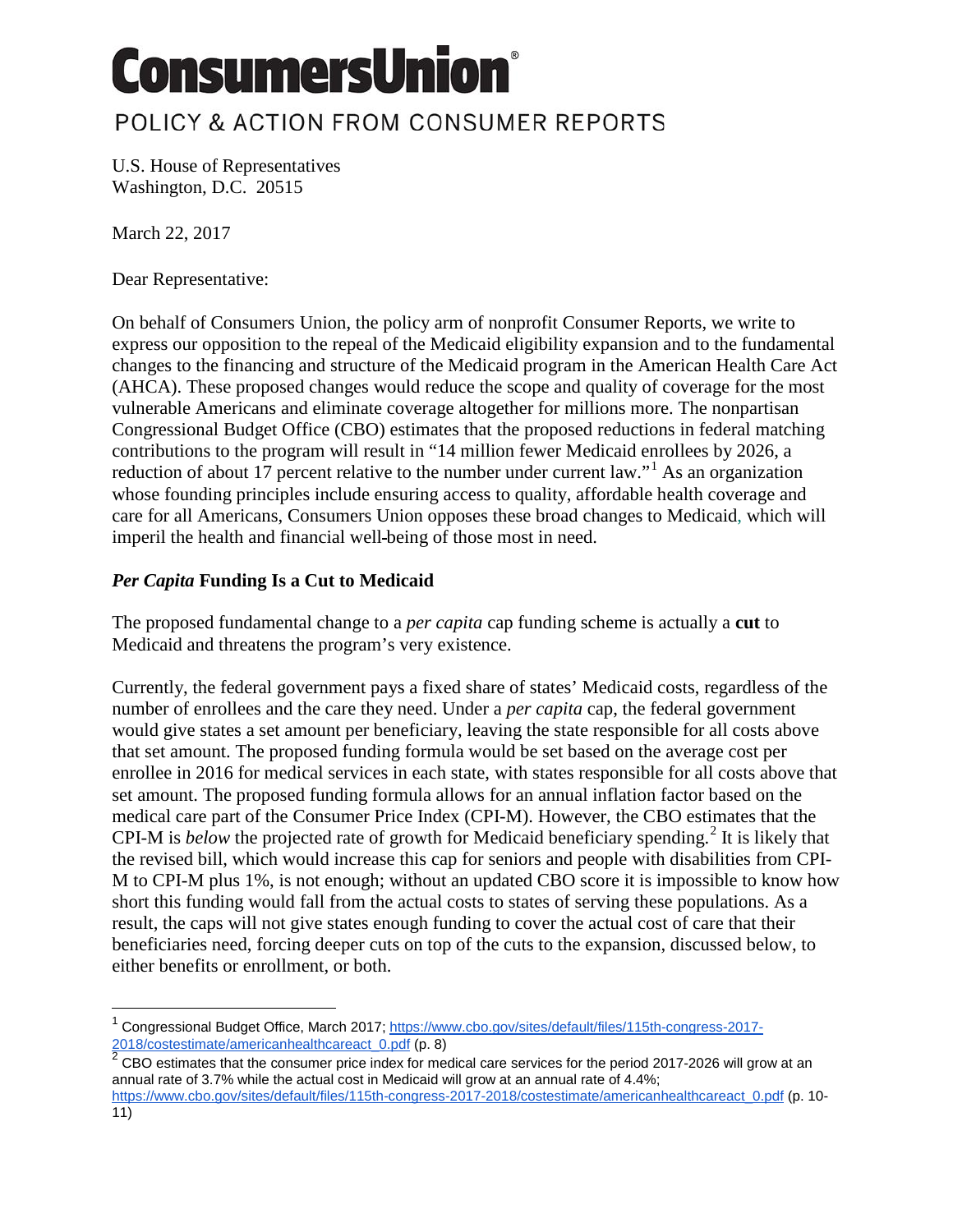# **ConsumersUnion®**

### POLICY & ACTION FROM CONSUMER REPORTS

U.S. House of Representatives Washington, D.C. 20515

March 22, 2017

Dear Representative:

On behalf of Consumers Union, the policy arm of nonprofit Consumer Reports, we write to express our opposition to the repeal of the Medicaid eligibility expansion and to the fundamental changes to the financing and structure of the Medicaid program in the American Health Care Act (AHCA). These proposed changes would reduce the scope and quality of coverage for the most vulnerable Americans and eliminate coverage altogether for millions more. The nonpartisan Congressional Budget Office (CBO) estimates that the proposed reductions in federal matching contributions to the program will result in "14 million fewer Medicaid enrollees by 2026, a reduction of about [1](#page-0-0)7 percent relative to the number under current law."<sup>1</sup> As an organization whose founding principles include ensuring access to quality, affordable health coverage and care for all Americans, Consumers Union opposes these broad changes to Medicaid, which will imperil the health and financial well being of those most in need.

#### *Per Capita* **Funding Is a Cut to Medicaid**

The proposed fundamental change to a *per capita* cap funding scheme is actually a **cut** to Medicaid and threatens the program's very existence.

Currently, the federal government pays a fixed share of states' Medicaid costs, regardless of the number of enrollees and the care they need. Under a *per capita* cap, the federal government would give states a set amount per beneficiary, leaving the state responsible for all costs above that set amount. The proposed funding formula would be set based on the average cost per enrollee in 2016 for medical services in each state, with states responsible for all costs above that set amount. The proposed funding formula allows for an annual inflation factor based on the medical care part of the Consumer Price Index (CPI-M). However, the CBO estimates that the CPI-M is *below* the projected rate of growth for Medicaid beneficiary spending.<sup>[2](#page-0-1)</sup> It is likely that the revised bill, which would increase this cap for seniors and people with disabilities from CPI-M to CPI-M plus 1%, is not enough; without an updated CBO score it is impossible to know how short this funding would fall from the actual costs to states of serving these populations. As a result, the caps will not give states enough funding to cover the actual cost of care that their beneficiaries need, forcing deeper cuts on top of the cuts to the expansion, discussed below, to either benefits or enrollment, or both.

<span id="page-0-1"></span> $2$  CBO estimates that the consumer price index for medical care services for the period 2017-2026 will grow at an annual rate of 3.7% while the actual cost in Medicaid will grow at an annual rate of 4.4%;

 $\overline{a}$ 

<span id="page-0-0"></span><sup>1</sup> Congressional Budget Office, March 2017[; https://www.cbo.gov/sites/default/files/115th-congress-2017-](https://www.cbo.gov/sites/default/files/115th-congress-2017-2018/costestimate/americanhealthcareact_0.pdf) [2018/costestimate/americanhealthcareact\\_0.pdf](https://www.cbo.gov/sites/default/files/115th-congress-2017-2018/costestimate/americanhealthcareact_0.pdf) (p. 8)

[https://www.cbo.gov/sites/default/files/115th-congress-2017-2018/costestimate/americanhealthcareact\\_0.pdf](https://www.cbo.gov/sites/default/files/115th-congress-2017-2018/costestimate/americanhealthcareact_0.pdf) (p. 10- 11)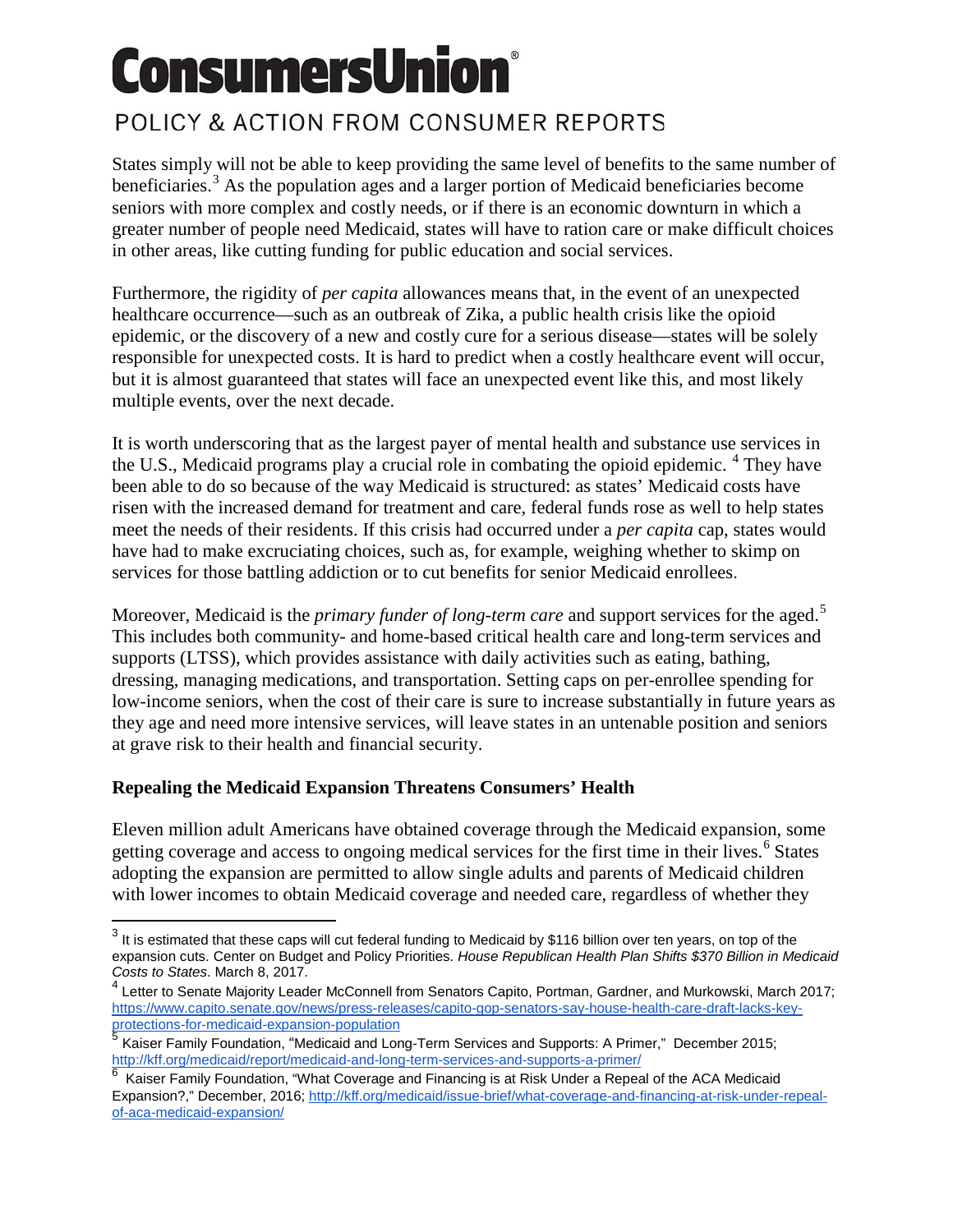# **ConsumersUnion®**

## POLICY & ACTION FROM CONSUMER REPORTS

States simply will not be able to keep providing the same level of benefits to the same number of beneficiaries.<sup>[3](#page-1-0)</sup> As the population ages and a larger portion of Medicaid beneficiaries become seniors with more complex and costly needs, or if there is an economic downturn in which a greater number of people need Medicaid, states will have to ration care or make difficult choices in other areas, like cutting funding for public education and social services.

Furthermore, the rigidity of *per capita* allowances means that, in the event of an unexpected healthcare occurrence—such as an outbreak of Zika, a public health crisis like the opioid epidemic, or the discovery of a new and costly cure for a serious disease—states will be solely responsible for unexpected costs. It is hard to predict when a costly healthcare event will occur, but it is almost guaranteed that states will face an unexpected event like this, and most likely multiple events, over the next decade.

It is worth underscoring that as the largest payer of mental health and substance use services in the U.S., Medicaid programs play a crucial role in combating the opioid epidemic. <sup>[4](#page-1-1)</sup> They have been able to do so because of the way Medicaid is structured: as states' Medicaid costs have risen with the increased demand for treatment and care, federal funds rose as well to help states meet the needs of their residents. If this crisis had occurred under a *per capita* cap, states would have had to make excruciating choices, such as, for example, weighing whether to skimp on services for those battling addiction or to cut benefits for senior Medicaid enrollees.

Moreover, Medicaid is the *primary funder of long-term care* and support services for the aged.[5](#page-1-2) This includes both community- and home-based critical health care and long-term services and supports (LTSS), which provides assistance with daily activities such as eating, bathing, dressing, managing medications, and transportation. Setting caps on per-enrollee spending for low-income seniors, when the cost of their care is sure to increase substantially in future years as they age and need more intensive services, will leave states in an untenable position and seniors at grave risk to their health and financial security.

### **Repealing the Medicaid Expansion Threatens Consumers' Health**

-

Eleven million adult Americans have obtained coverage through the Medicaid expansion, some getting coverage and access to ongoing medical services for the first time in their lives.<sup>[6](#page-1-3)</sup> States adopting the expansion are permitted to allow single adults and parents of Medicaid children with lower incomes to obtain Medicaid coverage and needed care, regardless of whether they

<span id="page-1-0"></span> $3$  It is estimated that these caps will cut federal funding to Medicaid by \$116 billion over ten years, on top of the expansion cuts. Center on Budget and Policy Priorities. *House Republican Health Plan Shifts \$370 Billion in Medicaid Costs to States*. March 8, 2017.

<span id="page-1-1"></span> $4$  Letter to Senate Majority Leader McConnell from Senators Capito, Portman, Gardner, and Murkowski, March 2017; [https://www.capito.senate.gov/news/press-releases/capito-gop-senators-say-house-health-care-draft-lacks-key](https://www.capito.senate.gov/news/press-releases/capito-gop-senators-say-house-health-care-draft-lacks-key-protections-for-medicaid-expansion-population)[protections-for-medicaid-expansion-population](https://www.capito.senate.gov/news/press-releases/capito-gop-senators-say-house-health-care-draft-lacks-key-protections-for-medicaid-expansion-population)

<span id="page-1-2"></span> $\frac{5}{6}$  Kaiser Family Foundation, "Medicaid and Long-Term Services and Supports: A Primer," December 2015; <http://kff.org/medicaid/report/medicaid-and-long-term-services-and-supports-a-primer/><br>6 Kaiser Femily Franch (for the first of the first of the first of the first of the first of the first of the

<span id="page-1-3"></span><sup>6</sup> Kaiser Family Foundation, "What Coverage and Financing is at Risk Under a Repeal of the ACA Medicaid Expansion?," December, 2016[; http://kff.org/medicaid/issue-brief/what-coverage-and-financing-at-risk-under-repeal](http://kff.org/medicaid/issue-brief/what-coverage-and-financing-at-risk-under-repeal-of-aca-medicaid-expansion/)[of-aca-medicaid-expansion/](http://kff.org/medicaid/issue-brief/what-coverage-and-financing-at-risk-under-repeal-of-aca-medicaid-expansion/)